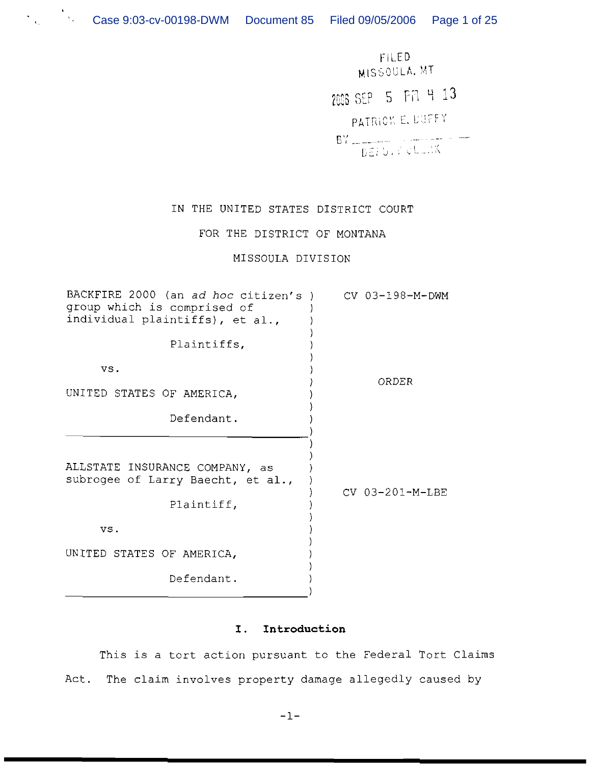FILED. MISSOULA. MT 2006 SEP 5 FA 4 13 PATRICK E. LUFFY  $BY = \frac{1}{DE(Y)}$  ,  $\frac{1}{12}$  ,  $\frac{1}{12}$  ,  $\frac{1}{12}$  ,  $\frac{1}{12}$  ,  $\frac{1}{12}$  ,  $\frac{1}{12}$  ,  $\frac{1}{12}$  ,  $\frac{1}{12}$  ,  $\frac{1}{12}$  ,  $\frac{1}{12}$  ,  $\frac{1}{12}$  ,  $\frac{1}{12}$  ,  $\frac{1}{12}$  ,  $\frac{1}{12}$  ,  $\frac{1}{12}$  ,  $\frac{1}{12}$ 

# IN THE UNITED STATES DISTRICT COURT

## FOR THE DISTRICT OF MONTANA

## MISSOULA DIVISION

| BACKFIRE 2000 (an ad hoc citizen's )<br>group which is comprised of<br>individual plaintiffs), et al., | CV 03-198-M-DWM |
|--------------------------------------------------------------------------------------------------------|-----------------|
| Plaintiffs,                                                                                            |                 |
| VS.                                                                                                    | ORDER           |
| UNITED STATES OF AMERICA,                                                                              |                 |
| Defendant.                                                                                             |                 |
| ALLSTATE INSURANCE COMPANY, as<br>subrogee of Larry Baecht, et al.,<br>Plaintiff,                      | CV 03-201-M-LBE |
| VS.                                                                                                    |                 |
| UNITED STATES OF AMERICA,                                                                              |                 |
| Defendant.                                                                                             |                 |
|                                                                                                        |                 |

## **I. Introduction**

This is a tort action pursuant to the Federal Tort Claims Act. The claim involves property damage allegedly caused by

 $-1-$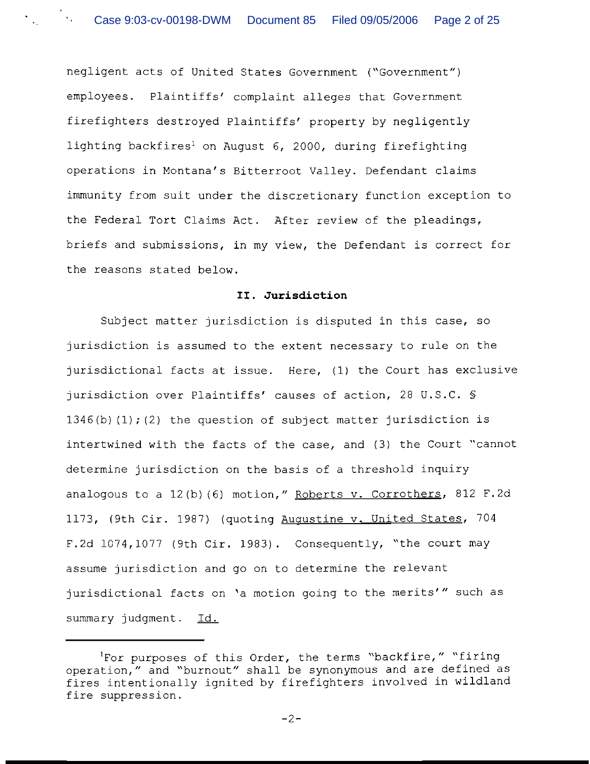negligent acts of United States Government ("Government") employees. Plaintiffs' complaint alleges that Government firefighters destroyed Plaintiffs' property by negligently lighting backfires<sup>1</sup> on August 6, 2000, during firefighting operations in Montana's Bitterroot Valley. Defendant claims immunity from suit under the discretionary function exception to the Federal Tort Claims Act. After review of the pleadings, briefs and submissions, in my view, the Defendant is correct for the reasons stated below.

### **11. Jurisdiction**

Subject matter jurisdiction is disputed in this case, so jurisdiction is assumed to the extent necessary to rule on the jurisdictional facts at issue. Here, (1) the Court has exclusive jurisdiction over Plaintiffs' causes of action, 28 U.S.C. *5*   $1346(b)$  (1);(2) the question of subject matter jurisdiction is intertwined with the facts of the case, and (3) the Court "cannot determine jurisdiction on the basis of a threshold inquiry analogous to a 12(b)(6) motion," Roberts v. Corrothers, 812 F.2d 1173, (9th Cir. 1987) (quoting Auqustine v. United States, 704 F.2d 1074,1077 (9th Cir. 1983). Consequently, "the court may assume jurisdiction and go on to determine the relevant jurisdictional facts on 'a motion going to the merits'" such as summary judgment. Id.

<sup>&#</sup>x27;For purposes of this Order, the terms "backfire," "firing operation," and "burnout" shall be synonymous and are defined as fires intentionally ignited by firefighters involved in wildland fire suppression.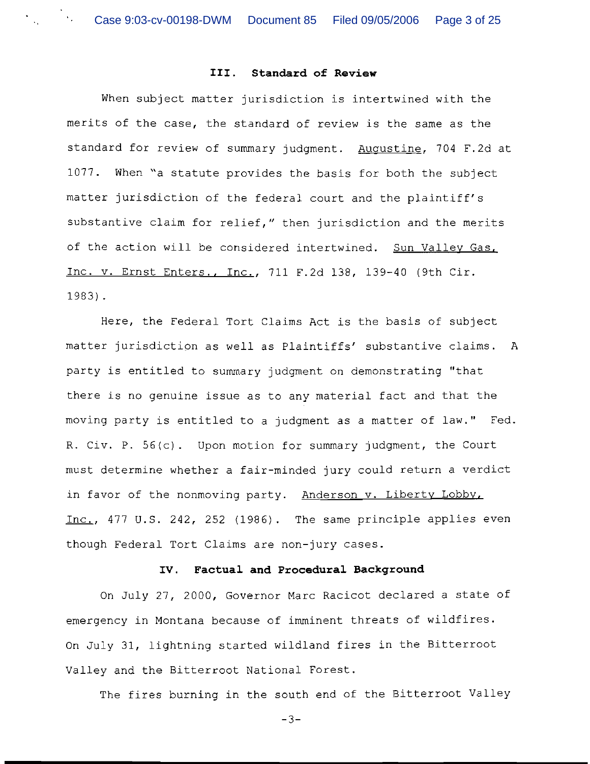### **111. Standard of Review**

When subject matter jurisdiction is intertwined with the merits of the case, the standard of review is the same as the standard for review of summary judgment. Augustine, 704 F.2d at 1077. When "a statute provides the basis for both the subject matter jurisdiction of the federal court and the plaintiff's substantive claim for relief," then jurisdiction and the merits of the action will be considered intertwined. Sun Valley Gas, Inc. v. Ernst Enters., Inc., 711 F.2d 138, 139-40 (9th Cir. 1983).

Here, the Federal Tort Claims Act is the basis of subject matter jurisdiction as well as Plaintiffs' substantive claims. A party is entitled to summary judgment on demonstrating "that there is no genuine issue as to any material fact and that the moving party is entitled to a judgment as a matter of law." Fed. R. Civ. P. 56(c). Upon motion for summary judgment, the Court must determine whether a fair-minded jury could return a verdict in favor of the nonmoving party. Anderson v. Liberty Lobby, Inc., 477 U.S. 242, 252 (1986). The same principle applies even though Federal Tort Claims are non-jury cases.

### **IV. Factual and Procedural Background**

On July 27, 2000, Governor Marc Racicot declared a state of emergency in Montana because of imminent threats of wildfires. On July 31, lightning started wildland fires in the Bitterroot Valley and the Bitterroot National Forest.

The fires burning in the south end of the Bitterroot Valley

-3-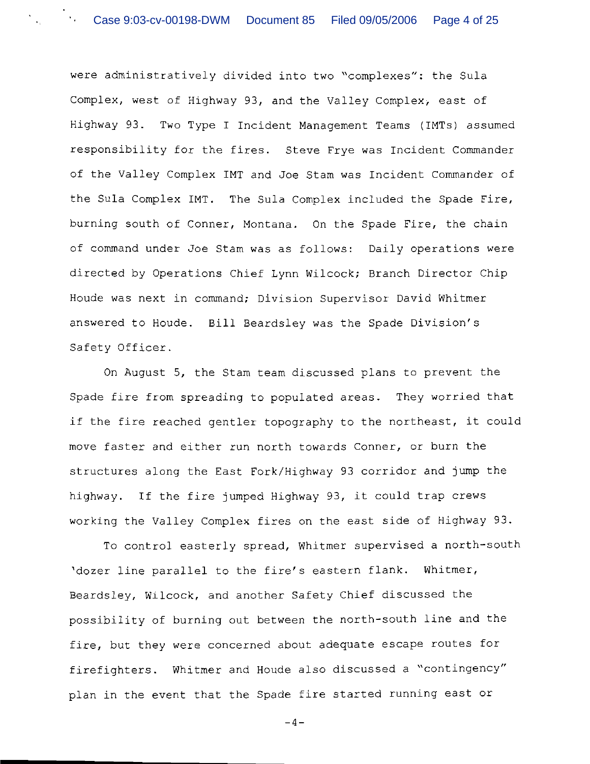were administratively divided into two "complexes": the Sula Complex, west of Highway 93, and the Valley Complex, east of Highway 93. Two Type I Incident Management Teams (IMTs) assumed responsibility for the fires. Steve Frye was Incident Commander of the Valley Complex IMT and Joe Stam was Incident Commander of the Sula Complex IMT. The Sula Complex included the Spade Fire, burning south of Conner, Montana. On the Spade Fire, the chain of command under Joe Stam was as follows: Daily operations were directed by Operations Chief Lynn Wilcock; Branch Director Chip Houde was next in command; Division Supervisor David Whitmer answered to Houde. Bill Beardsley was the Spade Division's Safety Officer.

On August 5, the Stam team discussed plans to prevent the Spade fire from spreading to populated areas. They worried that if the fire reached gentler topography to the northeast, it could move faster and either run north towards Conner, or burn the structures along the East Fork/Highway 93 corridor and jump the highway. If the fire jumped Highway 93, it could trap crews working the Valley Complex fires on the east side of Highway 93.

To control easterly spread, Whitmer supervised a north-south 'dozer line parallel to the fire's eastern flank. Whitmer, Beardsley, Wilcock, and another Safety Chief discussed the possibility of burning out between the north-south line and the fire, but they were concerned about adequate escape routes for firefighters. Whitmer and Houde also discussed a "contingency" plan in the event that the Spade fire started running east or

 $-4-$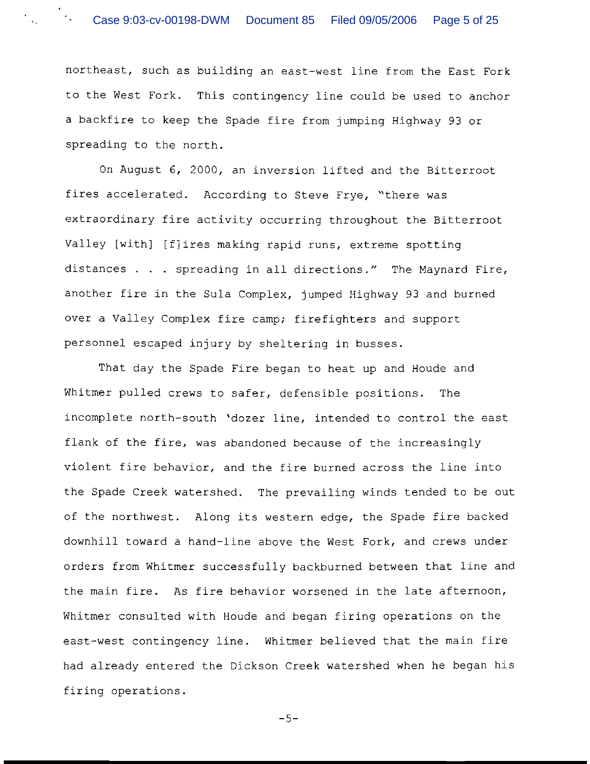northeast, such as building an east-west line from the East Fork to the West Fork. This contingency line could be used to anchor a backfire to keep the Spade fire from jumping Highway 93 or spreading to the north.

On August 6, 2000, an inversion lifted and the Bitterroot fires accelerated. According to Steve Frye, "there was extraordinary fire activity occurring throughout the Bitterroot Valley [with] [f] ires making rapid runs, extreme spotting distances . . . spreading in all directions." The Maynard Fire, another fire in the Sula Complex, jumped Highway 93 and burned over a Valley Complex fire camp; firefighters and support personnel escaped injury by sheltering in busses.

That day the Spade Fire began to heat up and Houde and Whitmer pulled crews to safer, defensible positions. The incomplete north-south 'dozer line, intended to control the east flank of the fire, was abandoned because of the increasingly violent fire behavior, and the fire burned across the line into the Spade Creek watershed. The prevailing winds tended to be out of the northwest. Along its western edge, the Spade fire backed downhill toward a hand-line above the West Fork, and crews under orders from Whitmer successfully backburned between that line and the main fire. As fire behavior worsened in the late afternoon, Whitmer consulted with Houde and began firing operations on the east-west contingency line. Whitmer believed that the main fire had already entered the Dickson Creek watershed when he began his firing operations.

 $-5-$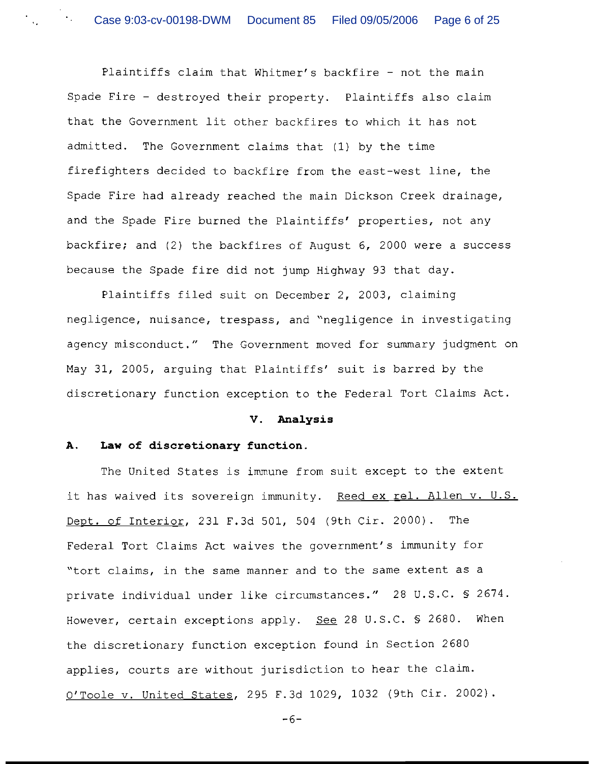Plaintiffs claim that Whitmer's backfire - not the main Spade Fire - destroyed their property. Plaintiffs also claim that the Government lit other backfires to which it has not admitted. The Government claims that (1) by the time firefighters decided to backfire from the east-west line, the Spade Fire had already reached the main Dickson Creek drainage, and the Spade Fire burned the Plaintiffs' properties, not any backfire; and (2) the backfires of August 6, 2000 were a success because the Spade fire did not jump Highway 93 that day.

Plaintiffs filed suit on December 2, 2003, claiming negligence, nuisance, trespass, and "negligence in investigating agency misconduct." The Government moved for summary judgment on May 31, 2005, arguing that Plaintiffs' suit is barred by the discretionary function exception to the Federal Tort Claims Act.

#### **V. Analysis**

### **A. Law of discretionary function.**

The United States is immune from suit except to the extent it has waived its sovereign immunity. Reed ex rel. Allen v. U.S. Dept. of Interior, 231 F.3d 501, 504 (9th Cir. 2000). The Federal Tort Claims Act waives the government's immunity for "tort claims, in the same manner and to the same extent as a private individual under like circumstances." 28 U.S.C. *S* 2674. However, certain exceptions apply. See 28 U.S.C. *5* 2680. When the discretionary function exception found in Section 2680 applies, courts are without jurisdiction to hear the claim. O'Toole v. United States, 295 F.3d 1029, 1032 (9th Cir. 2002).

-6-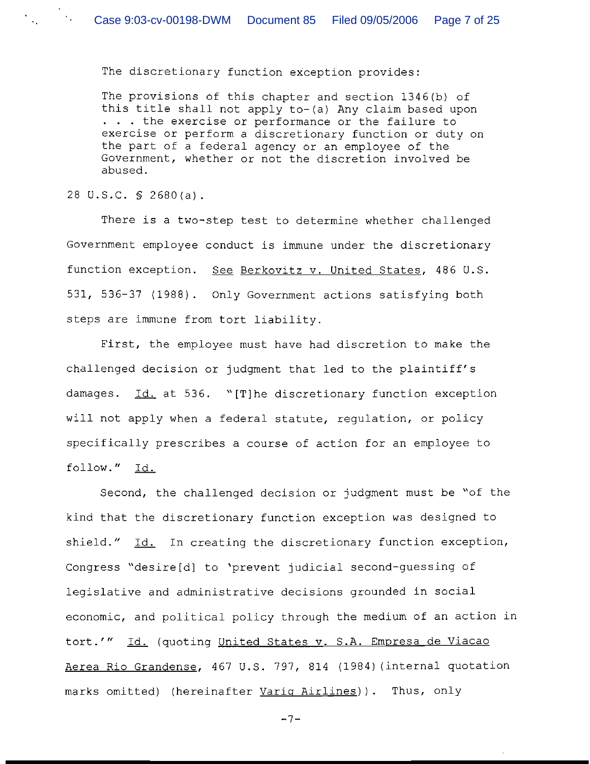The discretionary function exception provides:

The provisions of this chapter and section 1346(b) of this title shall not apply to-(a) Any claim based upon . . . the exercise or performance or the failure to exercise or perform a discretionary function or duty on the part of a federal agency or an employee of the Government, whether or not the discretion involved be abused.

28 U.S.C. *5* 2680(a).

There is a two-step test to determine whether challenged Government employee conduct is immune under the discretionary function exception. *See* Berkovitz v. United States, 486 U.S. 531, 536-37 (1988). Only Government actions satisfying both steps are immune from tort liability.

First, the employee must have had discretion to make the challenged decision or judgment that led to the plaintiff's damages. Id. at 536. "[T]he discretionary function exception will not apply when a federal statute, regulation, or policy specifically prescribes a course of action for an employee to follow." Id.

Second, the challenged decision or judgment must be "of the kind that the discretionary function exception was designed to shield." Id. In creating the discretionary function exception, Congress "desire[d] to 'prevent judicial second-guessing of legislative and administrative decisions grounded in social economic, and political policy through the medium of an action in tort.'" Id. (quoting United States v. S.A. Empresa de Viacao Aerea Rio Grandense, 467 U.S. 797, 814 (1984) (internal quotation marks omitted) (hereinafter Varig Airlines)). Thus, only

 $-7-$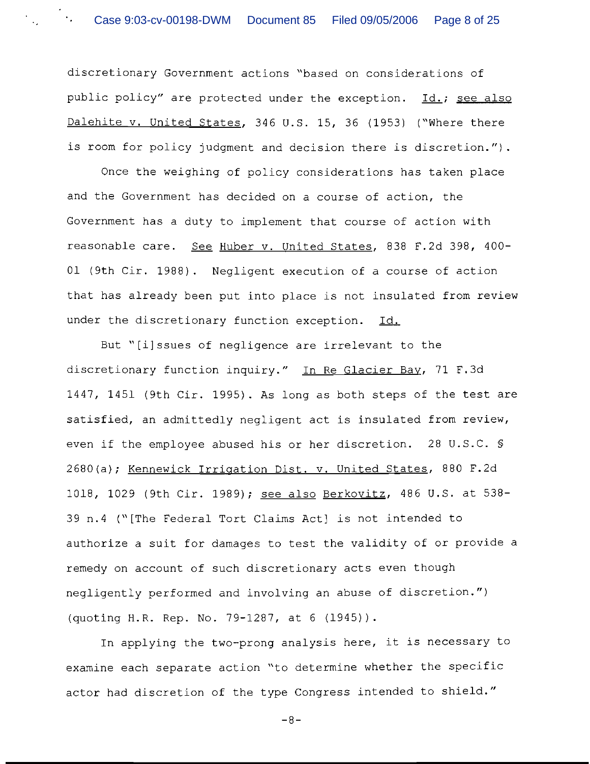discretionary Government actions "based on considerations of public policy" are protected under the exception. Id.; see also Dalehite v. United States, 346 U.S. 15, 36 (1953) ("Where there is room for policy judgment and decision there is discretion.").

Once the weighing of policy considerations has taken place and the Government has decided on a course of action, the Government has a duty to implement that course of action with reasonable care. See Huber v. United States, 838 F.2d 398, 400-01 (9th Cir. 1988). Negligent execution of a course of action that has already been put into place is not insulated from review under the discretionary function exception. Id.

But "[ilssues of negligence are irrelevant to the discretionary function inquiry." In Re Glacier Bay, 71 F.3d 1447, 1451 (9th Cir. 1995). As long as both steps of the test are satisfied, an admittedly negligent act is insulated from review, even if the employee abused his or her discretion. 28 U.S.C. *5*  2680(a); Kennewick Irrigation Dist. v. United States, 880 F.2d 1018, 1029 (9th Cir. 1989); see also Berkovitz, 486 U.S. at 538-39 n.4 ("[The Federal Tort Claims Act] is not intended to authorize a suit for damages to test the validity of or provide a remedy on account of such discretionary acts even though negligently performed and involving an abuse of discretion.") (quoting H.R. Rep. No. 79-1287, at 6 (1945)).

In applying the two-prong analysis here, it is necessary to examine each separate action "to determine whether the specific actor had discretion of the type Congress intended to shield."

-8-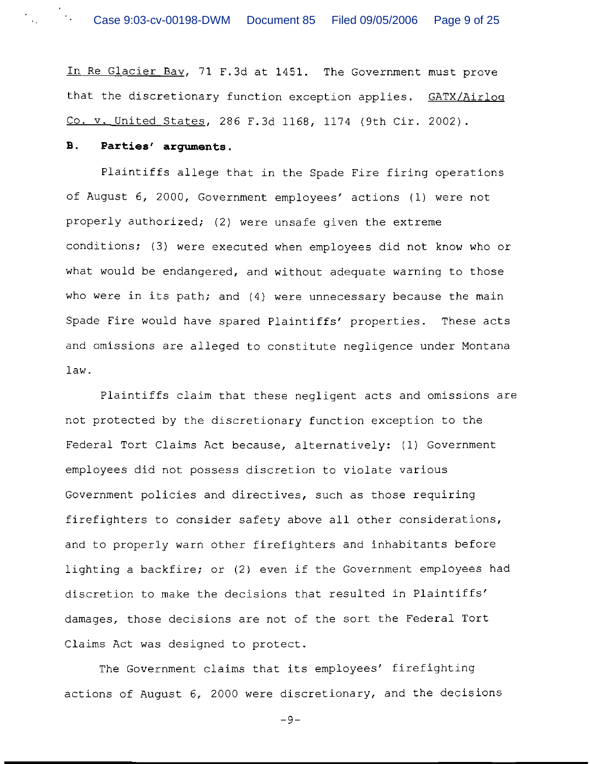In Re Glacier Bav, 71 F.3d at 1451. The Government must prove that the discretionary function exception applies. GATX/Airloq Co. v. United States, 286 F.3d 1168, 1174 (9th Cir. 2002).

#### **8. Parties' arguments.**

Plaintiffs allege that in the Spade Fire firing operations of August 6, 2000, Government employees' actions (1) were not properly authorized; (2) were unsafe given the extreme conditions; (3) were executed when employees did not know who or what would be endangered, and without adequate warning to those who were in its path; and (4) were unnecessary because the main Spade Fire would have spared Plaintiffs' properties. These acts and omissions are alleged to constitute negligence under Montana law.

Plaintiffs claim that these negligent acts and omissions are not protected by the discretionary function exception to the Federal Tort Claims Act because, alternatively: (1) Government employees did not possess discretion to violate various Government policies and directives, such as those requiring firefighters to consider safety above all other considerations, and to properly warn other firefighters and inhabitants before lighting a backfire; or (2) even if the Government employees had discretion to make the decisions that resulted in Plaintiffs' damages, those decisions are not of the sort the Federal Tort Claims Act was designed to protect.

The Government claims that its employees' firefighting actions of August 6, 2000 were discretionary, and the decisions

 $-9-$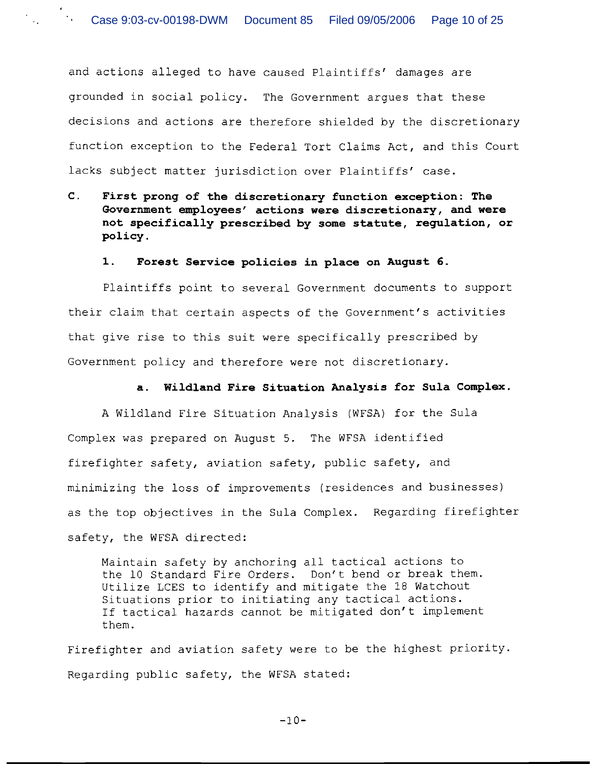and actions alleged to have caused Plaintiffs' damages are grounded in social policy. The Government argues that these decisions and actions are therefore shielded by the discretionary function exception to the Federal Tort Claims Act, and this Court lacks subject matter jurisdiction over Plaintiffs' case.

**C. First prong of the discretionary function exception: The Government employees' actions were discretionary, and were not specifically prescribed by some statute, regulation, or policy.** 

#### **1. Forest Service policies in place on August 6.**

Plaintiffs point to several Government documents to support their claim that certain aspects of the Government's activities that give rise to this suit were specifically prescribed by Government policy and therefore were not discretionary.

### **a. Wildland Fire Situation Analysis for Sula Complex.**

A Wildland Fire Situation Analysis (WFSA) for the Sula Complex was prepared on August 5. The WFSA identified firefighter safety, aviation safety, public safety, and minimizing the loss of improvements (residences and businesses) as the top objectives in the Sula Complex. Regarding firefighter safety, the WFSA directed:

Maintain safety by anchoring all tactical actions to the 10 Standard Fire Orders. Don't bend or break them. Utilize LCES to identify and mitigate the 18 Watchout Situations prior to initiating any tactical actions. If tactical hazards cannot be mitigated don't implement them.

Firefighter and aviation safety were to be the highest priority. Regarding public safety, the WFSA stated:

 $-10-$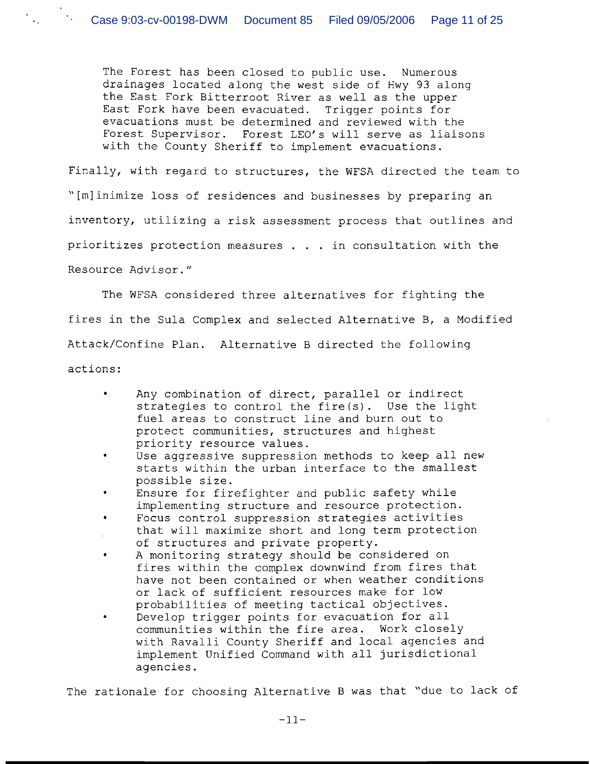The Forest has been closed to public use. Numerous drainages located along the west side of Hwy 93 along the East Fork Bitterroot River as well as the upper East Fork have been evacuated. Trigger points for evacuations must be determined and reviewed with the Forest Supervisor. Forest LEO'S will serve as liaisons with the County Sheriff to implement evacuations.

Finally, with regard to structures, the WFSA directed the team to "[mlinimize loss of residences and businesses by preparing an inventory, utilizing a risk assessment process that outlines and prioritizes protection measures . . . in consultation with the Resource Advisor. "

The WFSA considered three alternatives for fighting the fires in the Sula Complex and selected Alternative B, a Modified Attack/Confine Plan. Alternative B directed the following actions :

- $\bullet$ Any combination of direct, parallel or indirect strategies to control the fire(s). Use the light fuel areas to construct line and burn out to protect communities, structures and highest priority resource values.
- Use aggressive suppression methods to keep all new starts within the urban interface to the smallest possible size.
- Ensure for firefighter and public safety while implementing structure and resource protection.
- Focus control suppression strategies activities that will maximize short and long term protection of structures and private property.
- A monitoring strategy should be considered on fires within the complex downwind from fires that have not been contained or when weather conditions or lack of sufficient resources make for low probabilities of meeting tactical objectives.
- Develop trigger points for evacuation for all communities within the fire area. Work closely with Ravalli County Sheriff and local agencies and implement Unified Command with all jurisdictional agencies.

The rationale for choosing Alternative B was that "due to lack of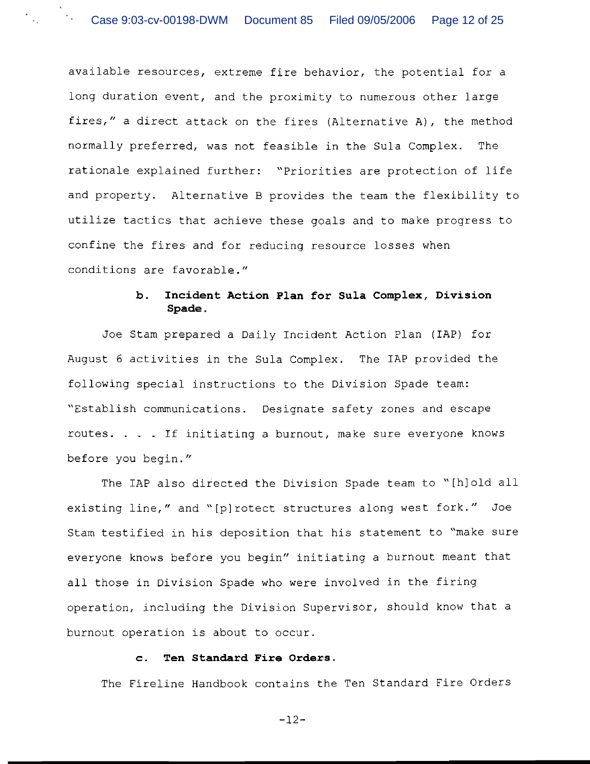available resources, extreme fire behavior, the potential for a long duration event, and the proximity to numerous other large fires," a direct attack on the fires (Alternative A), the method normally preferred, was not feasible in the Sula Complex. The rationale explained further: "Priorities are protection of life and property. Alternative B provides the team the flexibility to utilize tactics that achieve these goals and to make progress to confine the fires and for reducing resource losses when conditions are favorable."

## **b. Incident Action Plan for Sula Complex, Division Spade.**

Joe Stam prepared a Daily Incident Action Plan (IAP) for August 6 activities in the Sula Complex. The IAP provided the following special instructions to the Division Spade team: "Establish communications. Designate safety zones and escape routes. . . . If initiating a burnout, make sure everyone knows before you begin."

The IAP also directed the Division Spade team to "[hlold all existing line," and "[plrotect structures along west fork." Joe Stam testified in his deposition that his statement to "make sure everyone knows before you begin" initiating a burnout meant that all those in Division Spade who were involved in the firing operation, including the Division Supervisor, should know that a burnout operation is about to occur.

### **c. Ten Standard Fire Orders.**

The Fireline Handbook contains the Ten Standard Fire Orders

 $-12-$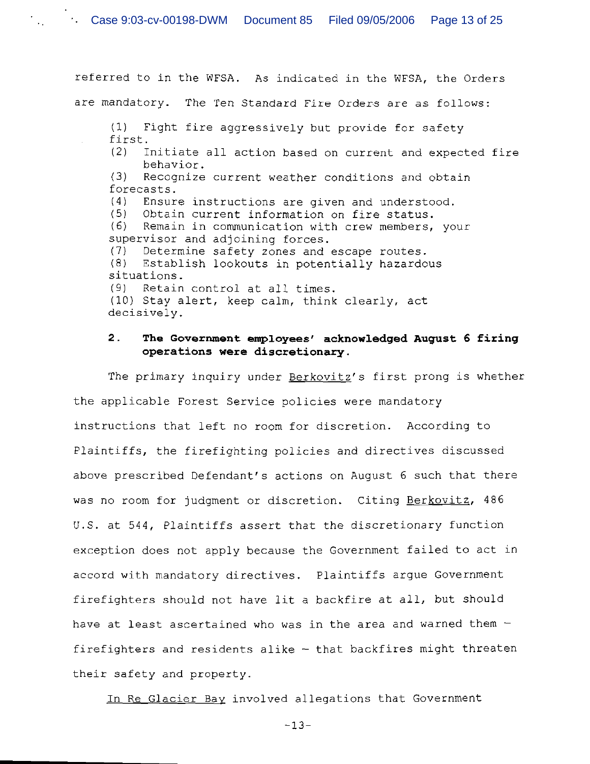referred to in the WFSA. As indicated in the WFSA, the Orders are mandatory. The Ten Standard Fire Orders are as follows: (1) Fight fire aggressively but provide for safety first. (2) Initiate all action based on current and expected fire behavior. *(3)* Recognize current weather conditions and obtain forecasts. (4) Ensure instructions are given and understood. (5) Obtain current information on fire status. *(6)* Remain in communication with crew members, your supervisor and adjoining forces. (7) Determine safety zones and escape routes. (8) Establish lookouts in potentially hazardous situations. (9) Retain control at all times. (10) Stay alert, keep calm, think clearly, act decisively.

## **2. The Government employees' acknowledged August 6 firing operations were discretionary.**

The primary inquiry under Berkovitz's first prong is whether the applicable Forest Service policies were mandatory instructions that left no room for discretion. According to Plaintiffs, the firefighting policies and directives discussed above prescribed Defendant's actions on August 6 such that there Plaintiffs, the firefighting policies and directives discussed<br>above prescribed Defendant's actions on August 6 such that there<br>was no room for judgment or discretion. Citing <u>Berkovitz</u>, 486<br>W.S. at 544, Plaintiffe accent U.S. at 544, Plaintiffs assert that the discretionary function exception does not apply because the Government failed to act in accord with mandatory directives. Plaintiffs argue Government firefighters should not have lit a backfire at all, but should have at least ascertained who was in the area and warned them  $$ firefighters and residents alike  $-$  that backfires might threaten their safety and property.

In Re Glacier Bav involved allegations that Government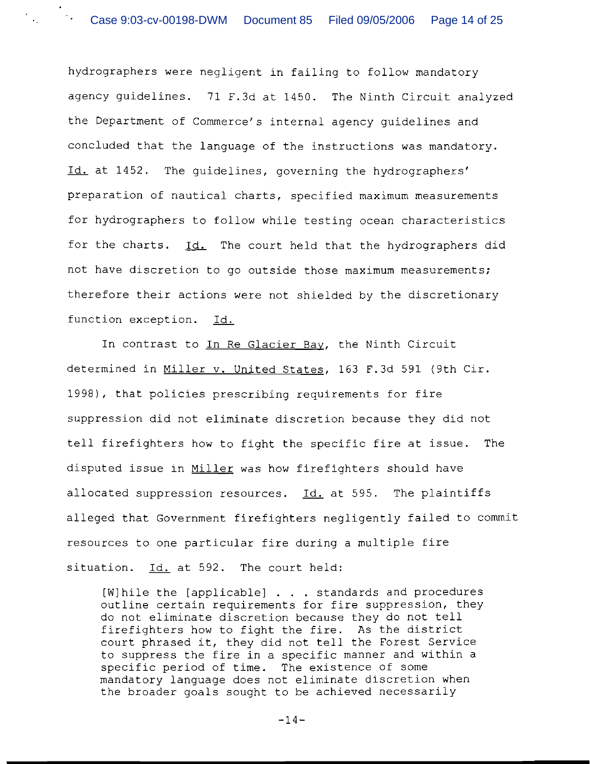hydrographers were negligent in failing to follow mandatory agency guidelines. 71 F.3d at 1450. The Ninth Circuit analyzed the Department of Commerce's internal agency guidelines and concluded that the language of the instructions was mandatory. Id. at 1452. The guidelines, governing the hydrographers' preparation of nautical charts, specified maximum measurements for hydrographers to follow while testing ocean characteristics for the charts. Id. The court held that the hydrographers did not have discretion to go outside those maximum measurements; therefore their actions were not shielded by the discretionary function exception. Id.

In contrast to In Re Glacier Bay, the Ninth Circuit determined in Miller v. United States, 163 F.3d 591 (9th Cir. 1998), that policies prescribing requirements for fire suppression did not eliminate discretion because they did not tell firefighters how to fight the specific fire at issue. The disputed issue in Miller was how firefighters should have allocated suppression resources. Id. at 595. The plaintiffs alleged that Government firefighters negligently failed to commit resources to one particular fire during a multiple fire situation. Id. at 592. The court held:

[Wlhile the [applicable] . . . standards and procedures outline certain requirements for fire suppression, they do not eliminate discretion because they do not tell firefighters how to fight the fire. As the district court phrased it, they did not tell the Forest Service to suppress the fire in a specific manner and within a specific period of time. The existence of some mandatory language does not eliminate discretion when the broader goals sought to be achieved necessarily

 $-14-$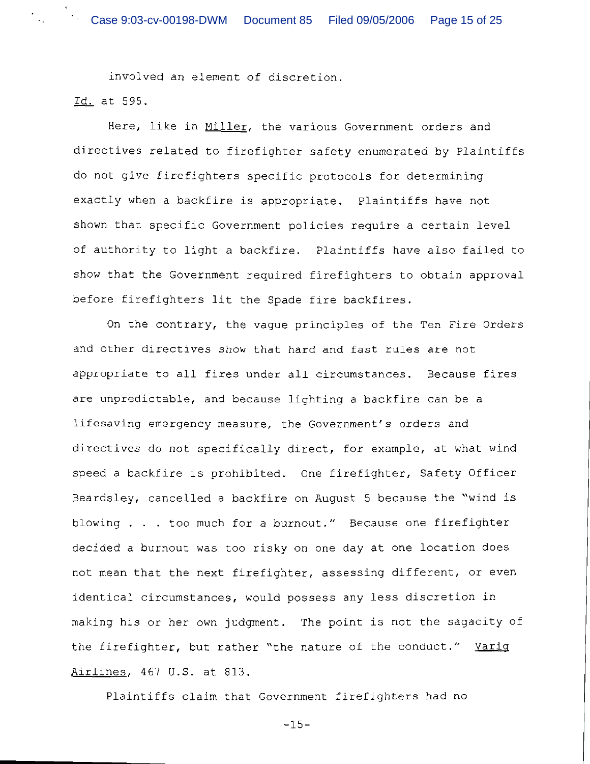involved an element of discretion.

Id. at 595.

Here, like in Miller, the various Government orders and directives related to firefighter safety enumerated by Plaintiffs do not give firefighters specific protocols for determining exactly when a backfire is appropriate. Plaintiffs have not shown that specific Government policies require a certain level of authority to light a backfire. Plaintiffs have also failed to show that the Government required firefighters to obtain approval before firefighters lit the Spade fire backfires.

On the contrary, the vague principles of the Ten Fire Orders and other directives show that hard and fast rules are not appropriate to all fires under all circumstances. Because fires are unpredictable, and because lighting a backfire can be a lifesaving emergency measure, the Government's orders and directives do not specifically direct, for example, at what wind speed a backfire is prohibited. One firefighter, Safety Officer Beardsley, cancelled a backfire on August 5 because the "wind is blowing . . . too much for a burnout." Because one firefighter decided a burnout was too risky on one day at one location does not mean that the next firefighter, assessing different, or even identical circumstances, would possess any less discretion in making his or her own judgment. The point is not the sagacity of the firefighter, but rather "the nature of the conduct."  $Varig$ </u> airlines, 467 U.S. at 813.

Plaintiffs claim that Government firefighters had no

-15-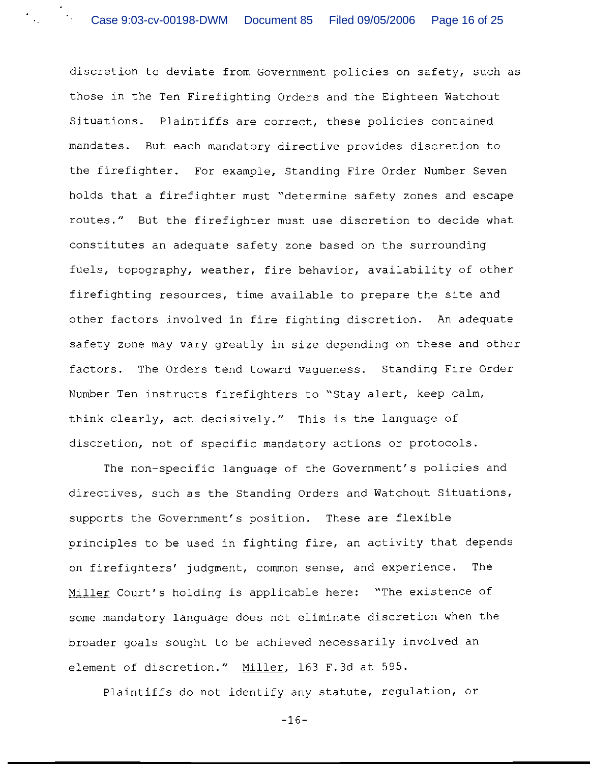discretion to deviate from Government policies on safety, such as those in the Ten Firefighting Orders and the Eighteen Watchout Situations. Plaintiffs are correct, these policies contained mandates. But each mandatory directive provides discretion to the firefighter. For example, Standing Fire Order Number Seven holds that a firefighter must "determine safety zones and escape routes." But the firefighter must use discretion to decide what constitutes an adequate safety zone based on the surrounding fuels, topography, weather, fire behavior, availability of other firefighting resources, time available to prepare the site and other factors involved in fire fighting discretion. An adequate safety zone may vary greatly in size depending on these and other factors. The Orders tend toward vagueness. Standing Fire Order Number Ten instructs firefighters to "Stay alert, keep calm, think clearly, act decisively." This is the language of discretion, not of specific mandatory actions or protocols.

The non-specific language of the Government's policies and directives, such as the Standing Orders and Watchout Situations, supports the Government's position. These are flexible principles to be used in fighting fire, an activity that depends on firefighters' judgment, common sense, and experience. The Miller Court's holding is applicable here: "The existence of some mandatory language does not eliminate discretion when the broader goals sought to be achieved necessarily involved an element of discretion." Miller, 163 F.3d at 595.

Plaintiffs do not identify any statute, regulation, or

 $-16-$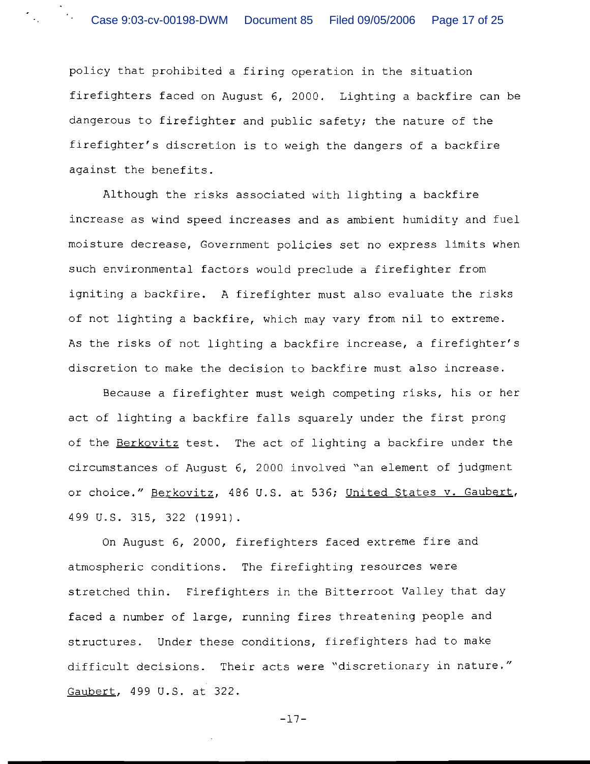policy that prohibited a firing operation in the situation firefighters faced on August 6, 2000. Lighting a backfire can be dangerous to firefighter and public safety; the nature of the firefighter's discretion is to weigh the dangers of a backfire against the benefits.

Although the risks associated with lighting a backfire increase as wind speed increases and as ambient humidity and fuel moisture decrease, Government policies set no express limits when such environmental factors would preclude a firefighter from igniting a backfire. A firefighter must also evaluate the risks of not lighting a backfire, which may vary from nil to extreme. As the risks of not lighting a backfire increase, a firefighter's discretion to make the decision to backfire must also increase.

Because a firefighter must weigh competing risks, his or her act of lighting a backfire falls squarely under the first prong of the Berkovitz test. The act of lighting a backfire under the circumstances of August 6, 2000 involved "an element of judgment or choice." Berkovitz, 486 U.S. at 536; United States v. Gaubert, 499 U.S. 315, 322 (1991).

On August 6, 2000, firefighters faced extreme fire and atmospheric conditions. The firefighting resources were stretched thin. Firefighters in the Bitterroot Valley that day faced a number of large, running fires threatening people and structures. Under these conditions, firefighters had to make difficult decisions. Their acts were "discretionary in nature." Gaubert, 499 U.S. at 322.

-17-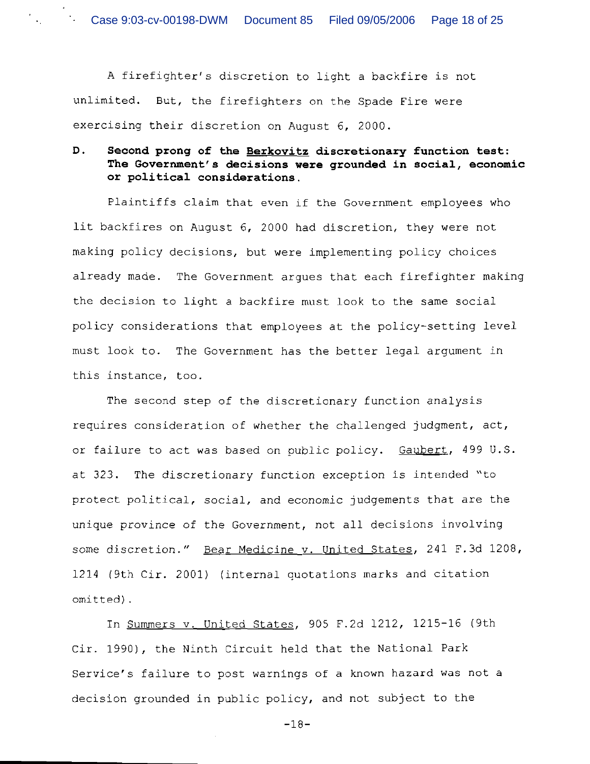A firefighter's discretion to light a backfire is not unlimited. But, the firefighters on the Spade Fire were exercising their discretion on August 6, 2000.

# **D. Second prong of the Berkovitz discretionary function test: The Government's decisions were grounded in social, economic or political considerations.**

Plaintiffs claim that even if the Government employees who lit backfires on August 6, 2000 had discretion, they were not making policy decisions, but were implementing policy choices already made. The Government argues that each firefighter making the decision to light a backfire must look to the same social policy considerations that employees at the policy-setting level must look to. The Government has the better legal argument in this instance, too.

The second step of the discretionary function analysis requires consideration of whether the challenged judgment, act, or failure to act was based on public policy. Gaubert, 499 U.S. at 323. The discretionary function exception is intended "to protect political, social, and economic judgements that are the unique province of the Government, not all decisions involving some discretion." Bear Medicine v. United States, 241 F.3d 1208, 1214 (9th Cir. 2001) (internal quotations marks and citation omitted).

In Summers v. United States, 905 F.2d 1212, 1215-16 (9th Cir. 1990), the Ninth Circuit held that the National Park Service's failure to post warnings of a known hazard was not a decision grounded in public policy, and not subject to the

-18-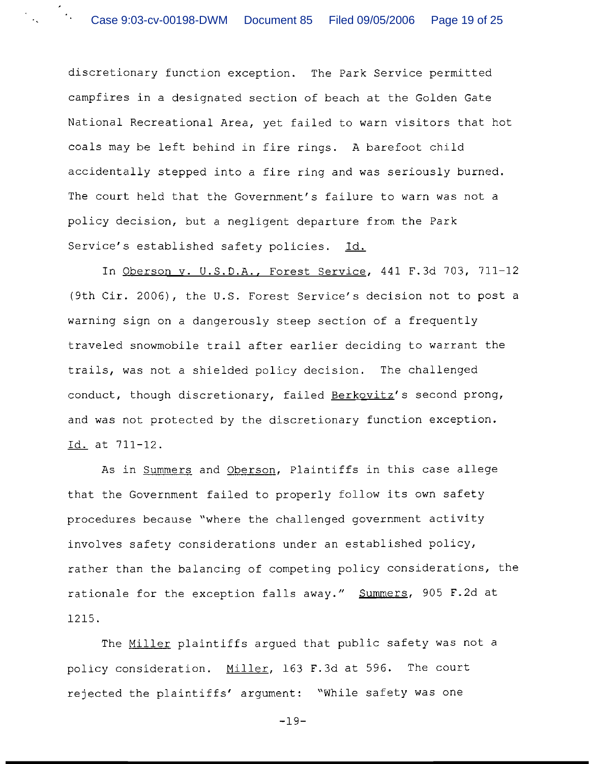discretionary function exception. The Park Service permitted campfires in a designated section of beach at the Golden Gate National Recreational Area, yet failed to warn visitors that hot coals may be left behind in fire rings. A barefoot child accidentally stepped into a fire ring and was seriously burned. The court held that the Government's failure to warn was not a policy decision, but a negligent departure from the Park Service's established safety policies. Id.

In Oberson v. U.S.D.A., Forest Service, 441 F.3d 703, 711-12 (9th Cir. 2006), the U.S. Forest Service's decision not to post a warning sign on a dangerously steep section of a frequently traveled snowmobile trail after earlier deciding to warrant the trails, was not a shielded policy decision. The challenged conduct, though discretionary, failed Berkovitz's second prong, and was not protected by the discretionary function exception. Id. at 711-12.

As in Summers and Oberson, Plaintiffs in this case allege that the Government failed to properly follow its own safety procedures because "where the challenged government activity involves safety considerations under an established policy, rather than the balancing of competing policy considerations, the rationale for the exception falls away." Summers, 905 F.2d at 1215.

The Miller plaintiffs argued that public safety was not a policy consideration. Miller, 163 F.3d at 596. The court rejected the plaintiffs' argument: "While safety was one

-19-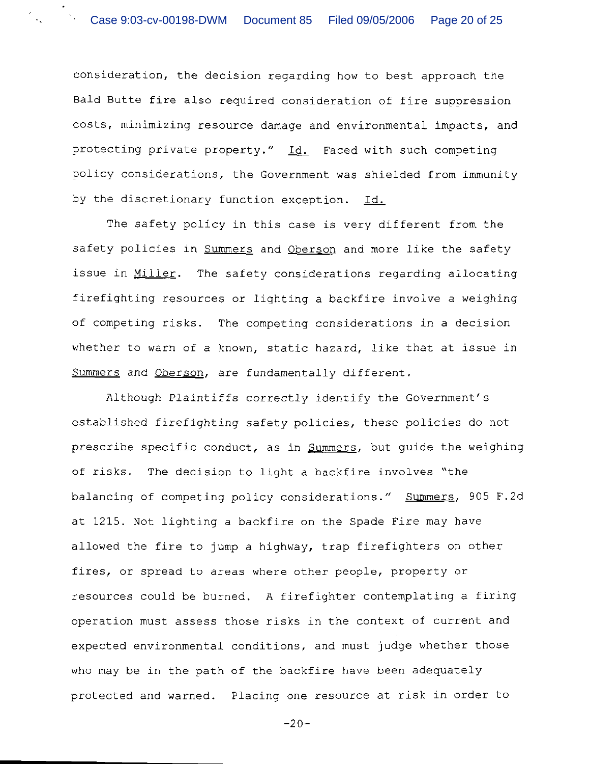consideration, the decision regarding how to best approach the Bald Butte fire also required consideration of fire suppression costs, minimizing resource damage and environmental impacts, and Bald Butte fire also required consideration of fire suppression<br>costs, minimizing resource damage and environmental impacts, and<br>protecting private property." <u>Id.</u> Faced with such competing policy considerations, the Government was shielded from immunity by the discretionary function exception. Id.

The safety policy in this case is very different from the safety policies in Summers and Oberson and more like the safety issue in Miller. The safety considerations regarding allocating firefiqhting resources or lighting a backfire involve a weighing of competing risks. The competing considerations in a decision whether to warn of a known, static hazard, like that at issue in Summers and Oberson, are fundamentally different.

Although Plaintiffs correctly identify the Government's established firefighting safety policies, these policies do not prescribe specific conduct, as in Summers, but guide the weighing of risks. The decision to light a backfire involves "the balancing of competing policy considerations." Summers, 905 F.2d at 1215. Not lighting a backfire on the Spade Fire may have allowed the fire to jump a highway, trap firefighters on other fires, or spread to areas where other people, property or resources could be burned. A firefighter contemplating a firing operation must assess those risks in the context of current and expected environmental conditions, and must judge whether those who may be in the path of the backfire have been adequately protected and warned. Placing one resource at risk in order to

 $-20-$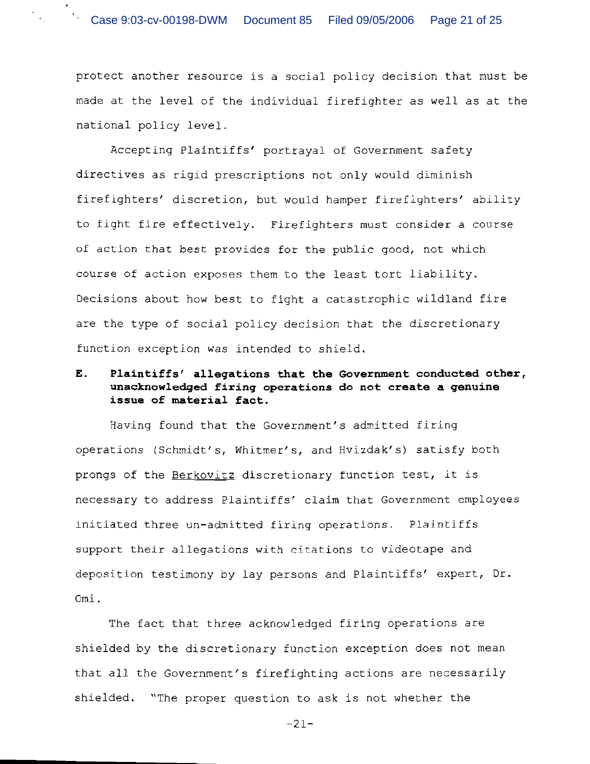protect another resource is a social policy decision that must be made at the level of the individual firefighter as well as at the national policy level.

Accepting Plaintiffs' portrayal of Government safety directives as rigid prescriptions not only would diminish firefighters' discretion, but would hamper firefighters' ability to fight fire effectively. Firefighters must consider a course of action that best provides for the public good, not which course of action exposes them to the least tort liability. Decisions about how best to fight a catastrophic wildland fire are the type of social policy decision that the discretionary function exception was intended to shield.

# **E. Plaintiffsf allegations that the Government conducted other, unacknowledged firing operations do not create a genuine issue of material fact.**

Having found that the Government's admitted firing operations (Schmidt's, Whitmer's, and Hvizdak's) satisfy both prongs of the Berkovitz discretionary function test, it is necessary to address Plaintiffs' claim that Government employees initiated three un-admitted firing operations. Plaintiffs support their allegations with citations to videotape and deposition testimony by lay persons and Plaintiffs' expert, Dr. Omi .

The fact that three acknowledged firing operations are shielded by the discretionary function exception does not mean that all the Government's firefighting actions are necessarily shielded. "The proper question to ask is not whether the

-21-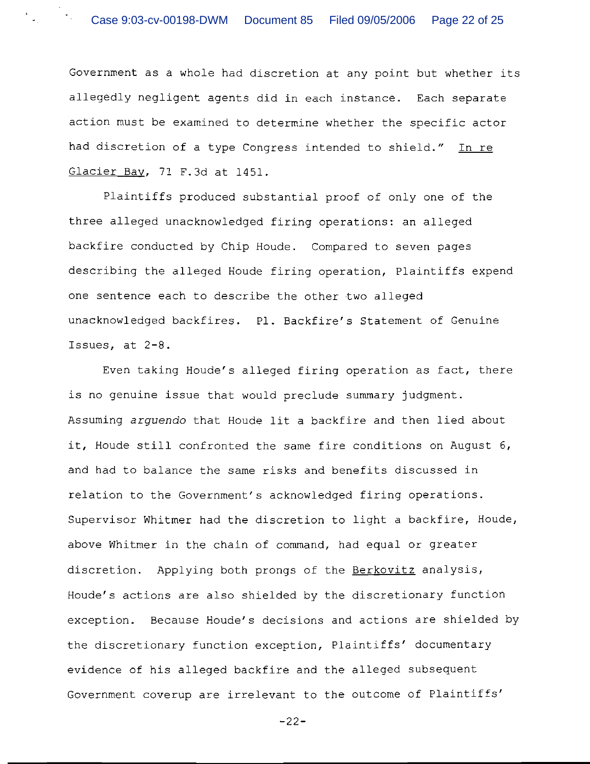Government as a whole had discretion at any point but whether its allegedly negligent agents did in each instance. Each separate action must be examined to determine whether the specific actor had discretion of a type Congress intended to shield." In re Glacier Bav, 71 F. 3d at 1451.

Plaintiffs produced substantial proof of only one of the three alleged unacknowledged firing operations: an alleged backfire conducted by Chip Houde. Compared to seven pages describing the alleged Houde firing operation, Plaintiffs expend one sentence each to describe the other two alleged unacknowledged backfires. P1. Backfire's Statement of Genuine Issues, at 2-8.

Even taking Houde's alleged firing operation as fact, there is no genuine issue that would preclude summary judgment. Assuming arguendo that Houde lit a backfire and then lied about it, Houde still confronted the same fire conditions on August 6, and had to balance the same risks and benefits discussed in relation to the Government's acknowledged firing operations. Supervisor Whitmer had the discretion to light a backfire, Houde, above Whitmer in the chain of command, had equal or greater discretion. Applying both prongs of the Berkovitz analysis, Houde's actions are also shielded by the discretionary function exception. Because Houde's decisions and actions are shielded by the discretionary function exception, Plaintiffs' documentary evidence of his alleged backfire and the alleged subsequent Government coverup are irrelevant to the outcome of Plaintiffs'

-22-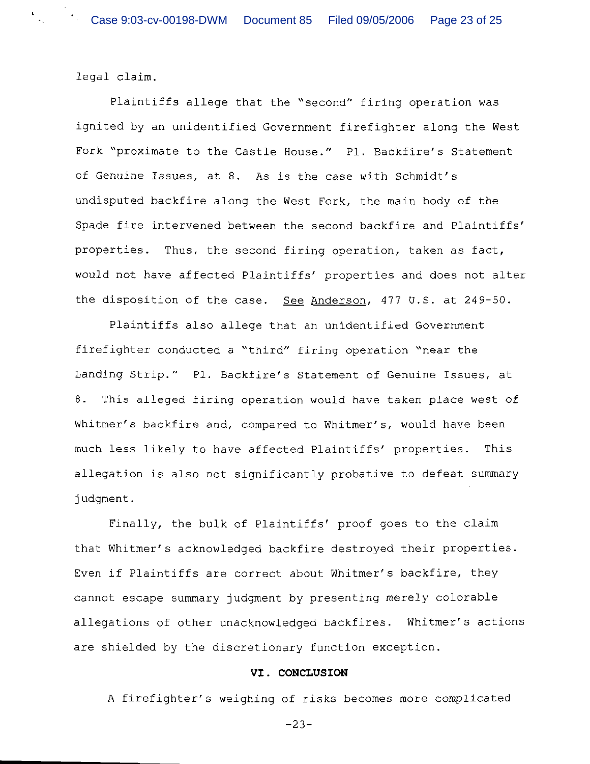legal claim.

 $\label{eq:1.1} \begin{array}{l} \mathbf{k} \\ \mathbf{a}_\mathrm{A} \\ \end{array}$ 

Plaintiffs allege that the "second" firing operation was ignited by an unidentified Government firefighter along the West Fork "proximate to the Castle House." P1. Backfire's Statement of Genuine Issues, at 8. As is the case with Schmidt's undisputed backfire along the West Fork, the main body of the Spade fire intervened between the second backfire and Plaintiffs' properties. Thus, the second firing operation, taken as fact, would not have affected Plaintiffs' properties and does not alter the disposition of the case. *See* Anderson, 477 U.S. at 249-50.

Plaintiffs also allege that an unidentified Government firefighter conducted a "third" firing operation "near the Landing Strip." P1. Backfire's Statement of Genuine Issues, at 8. This alleged firing operation would have taken place west of Whitmer's backfire and, compared to Whitmer's, would have been much less likely to have affected Plaintiffs' properties. This allegation is also not significantly probative to defeat summary judgment .

Finally, the bulk of Plaintiffs' proof goes to the claim that Whitmer's acknowledged backfire destroyed their properties. Even if Plaintiffs are correct about Whitmer's backfire, they cannot escape summary judgment by presenting merely colorable allegations of other unacknowledged backfires. Whitmer's actions are shielded by the discretionary function exception.

#### **VI. CONCLUSION**

A firefighter's weighing of risks becomes more complicated

-23-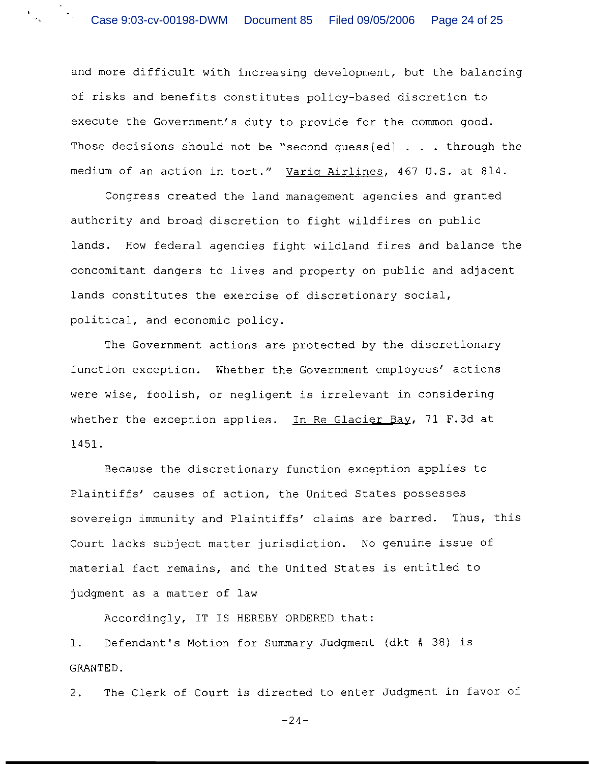and more difficult with increasing development, but the balancing of risks and benefits constitutes policy-based discretion to execute the Government's duty to provide for the common good. Those decisions should not be "second guess[ed] . . . through the medium of an action in tort." Varig Airlines, 467 U.S. at 814.

Congress created the land management agencies and granted authority and broad discretion to fight wildfires on public lands. How federal agencies fight wildland fires and balance the concomitant dangers to lives and property on public and adjacent lands constitutes the exercise of discretionary social, political, and economic policy.

The Government actions are protected by the discretionary function exception. Whether the Government employees' actions were wise, foolish, or negligent is irrelevant in considering whether the exception applies. In Re Glacier Bay, 71 F.3d at 1451.

Because the discretionary function exception applies to Plaintiffs' causes of action, the United States possesses sovereign immunity and Plaintiffs' claims are barred. Thus, this Court lacks subject matter jurisdiction. No genuine issue of material fact remains, and the United States is entitled to judgment as a matter of law

Accordingly, IT IS HEREBY ORDERED that:

1. Defendant's Motion for Summary Judgment (dkt # 38) is GRANTED.

2. The Clerk of Court is directed to enter Judgment in favor of

 $-24-$